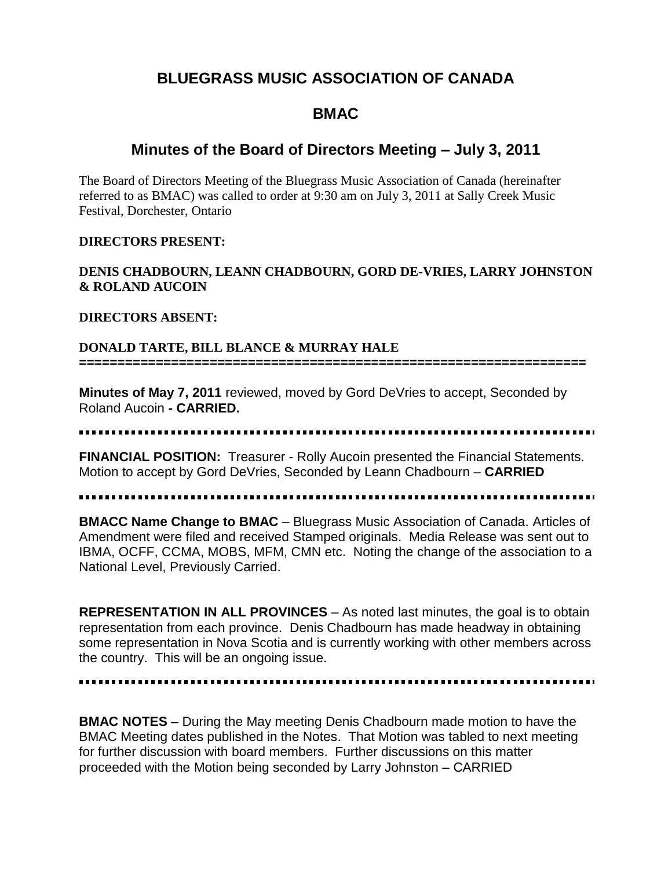## **BLUEGRASS MUSIC ASSOCIATION OF CANADA**

# **BMAC**

## **Minutes of the Board of Directors Meeting – July 3, 2011**

The Board of Directors Meeting of the Bluegrass Music Association of Canada (hereinafter referred to as BMAC) was called to order at 9:30 am on July 3, 2011 at Sally Creek Music Festival, Dorchester, Ontario

#### **DIRECTORS PRESENT:**

### **DENIS CHADBOURN, LEANN CHADBOURN, GORD DE-VRIES, LARRY JOHNSTON & ROLAND AUCOIN**

#### **DIRECTORS ABSENT:**

#### **DONALD TARTE, BILL BLANCE & MURRAY HALE**

**==================================================================**

**Minutes of May 7, 2011** reviewed, moved by Gord DeVries to accept, Seconded by Roland Aucoin **- CARRIED.**

**FINANCIAL POSITION:** Treasurer - Rolly Aucoin presented the Financial Statements. Motion to accept by Gord DeVries, Seconded by Leann Chadbourn – **CARRIED**

#### 

**BMACC Name Change to BMAC** – Bluegrass Music Association of Canada. Articles of Amendment were filed and received Stamped originals. Media Release was sent out to IBMA, OCFF, CCMA, MOBS, MFM, CMN etc. Noting the change of the association to a National Level, Previously Carried.

**REPRESENTATION IN ALL PROVINCES** – As noted last minutes, the goal is to obtain representation from each province. Denis Chadbourn has made headway in obtaining some representation in Nova Scotia and is currently working with other members across the country. This will be an ongoing issue.

**BMAC NOTES –** During the May meeting Denis Chadbourn made motion to have the BMAC Meeting dates published in the Notes. That Motion was tabled to next meeting for further discussion with board members. Further discussions on this matter proceeded with the Motion being seconded by Larry Johnston – CARRIED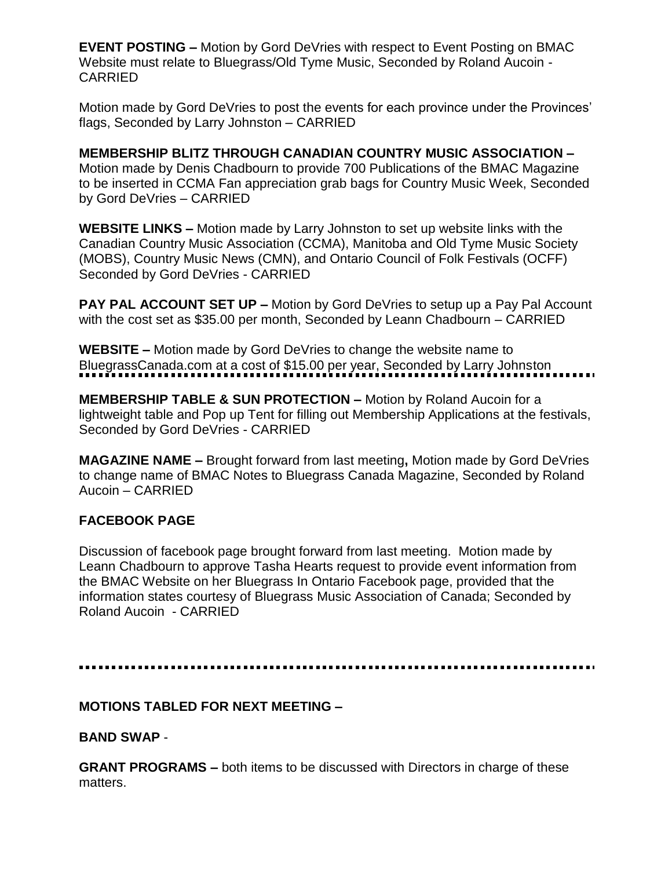**EVENT POSTING –** Motion by Gord DeVries with respect to Event Posting on BMAC Website must relate to Bluegrass/Old Tyme Music, Seconded by Roland Aucoin - CARRIED

Motion made by Gord DeVries to post the events for each province under the Provinces' flags, Seconded by Larry Johnston – CARRIED

**MEMBERSHIP BLITZ THROUGH CANADIAN COUNTRY MUSIC ASSOCIATION –** Motion made by Denis Chadbourn to provide 700 Publications of the BMAC Magazine to be inserted in CCMA Fan appreciation grab bags for Country Music Week, Seconded by Gord DeVries – CARRIED

**WEBSITE LINKS –** Motion made by Larry Johnston to set up website links with the Canadian Country Music Association (CCMA), Manitoba and Old Tyme Music Society (MOBS), Country Music News (CMN), and Ontario Council of Folk Festivals (OCFF) Seconded by Gord DeVries - CARRIED

**PAY PAL ACCOUNT SET UP –** Motion by Gord DeVries to setup up a Pay Pal Account with the cost set as \$35.00 per month, Seconded by Leann Chadbourn – CARRIED

**WEBSITE –** Motion made by Gord DeVries to change the website name to BluegrassCanada.com at a cost of \$15.00 per year, Seconded by Larry Johnston

**MEMBERSHIP TABLE & SUN PROTECTION –** Motion by Roland Aucoin for a lightweight table and Pop up Tent for filling out Membership Applications at the festivals, Seconded by Gord DeVries - CARRIED

**MAGAZINE NAME –** Brought forward from last meeting**,** Motion made by Gord DeVries to change name of BMAC Notes to Bluegrass Canada Magazine, Seconded by Roland Aucoin – CARRIED

### **FACEBOOK PAGE**

Discussion of facebook page brought forward from last meeting. Motion made by Leann Chadbourn to approve Tasha Hearts request to provide event information from the BMAC Website on her Bluegrass In Ontario Facebook page, provided that the information states courtesy of Bluegrass Music Association of Canada; Seconded by Roland Aucoin - CARRIED

### **MOTIONS TABLED FOR NEXT MEETING –**

**BAND SWAP** -

**GRANT PROGRAMS –** both items to be discussed with Directors in charge of these matters.